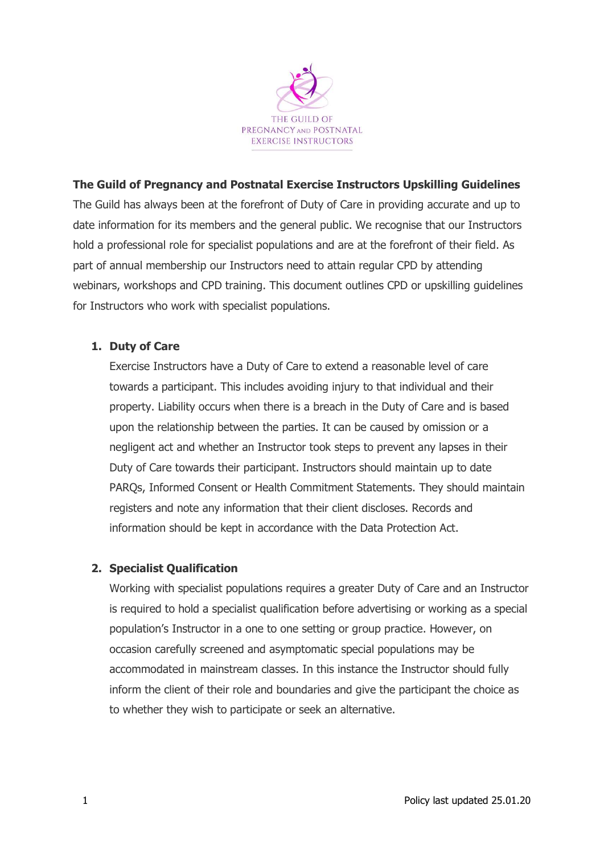

## The Guild of Pregnancy and Postnatal Exercise Instructors Upskilling Guidelines

The Guild has always been at the forefront of Duty of Care in providing accurate and up to date information for its members and the general public. We recognise that our Instructors hold a professional role for specialist populations and are at the forefront of their field. As part of annual membership our Instructors need to attain regular CPD by attending webinars, workshops and CPD training. This document outlines CPD or upskilling guidelines for Instructors who work with specialist populations.

## 1. Duty of Care

Exercise Instructors have a Duty of Care to extend a reasonable level of care towards a participant. This includes avoiding injury to that individual and their property. Liability occurs when there is a breach in the Duty of Care and is based upon the relationship between the parties. It can be caused by omission or a negligent act and whether an Instructor took steps to prevent any lapses in their Duty of Care towards their participant. Instructors should maintain up to date PARQs, Informed Consent or Health Commitment Statements. They should maintain registers and note any information that their client discloses. Records and information should be kept in accordance with the Data Protection Act.

## 2. Specialist Qualification

Working with specialist populations requires a greater Duty of Care and an Instructor is required to hold a specialist qualification before advertising or working as a special population's Instructor in a one to one setting or group practice. However, on occasion carefully screened and asymptomatic special populations may be accommodated in mainstream classes. In this instance the Instructor should fully inform the client of their role and boundaries and give the participant the choice as to whether they wish to participate or seek an alternative.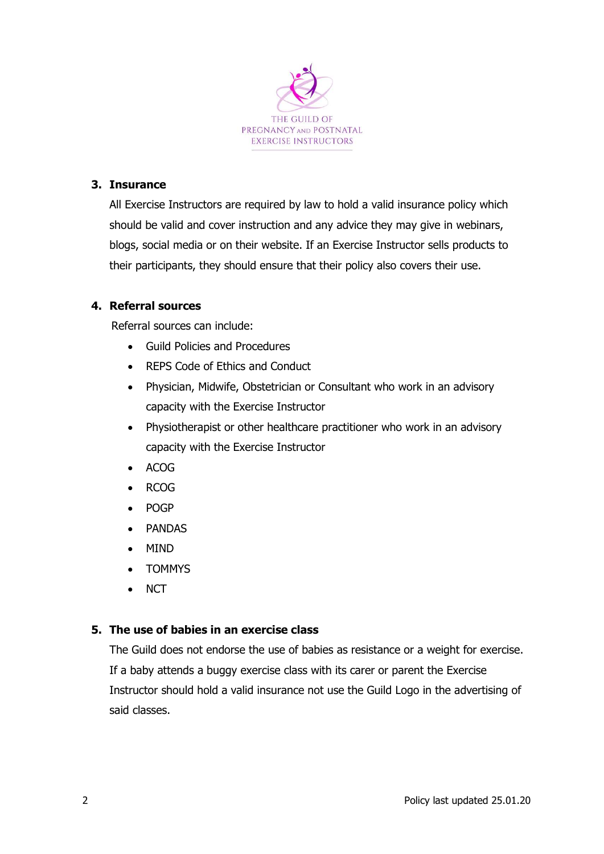

### 3. Insurance

All Exercise Instructors are required by law to hold a valid insurance policy which should be valid and cover instruction and any advice they may give in webinars, blogs, social media or on their website. If an Exercise Instructor sells products to their participants, they should ensure that their policy also covers their use.

#### 4. Referral sources

Referral sources can include:

- Guild Policies and Procedures
- REPS Code of Ethics and Conduct
- Physician, Midwife, Obstetrician or Consultant who work in an advisory capacity with the Exercise Instructor
- Physiotherapist or other healthcare practitioner who work in an advisory capacity with the Exercise Instructor
- ACOG
- RCOG
- POGP
- PANDAS
- MIND
- TOMMYS
- **NCT**

#### 5. The use of babies in an exercise class

The Guild does not endorse the use of babies as resistance or a weight for exercise. If a baby attends a buggy exercise class with its carer or parent the Exercise Instructor should hold a valid insurance not use the Guild Logo in the advertising of said classes.